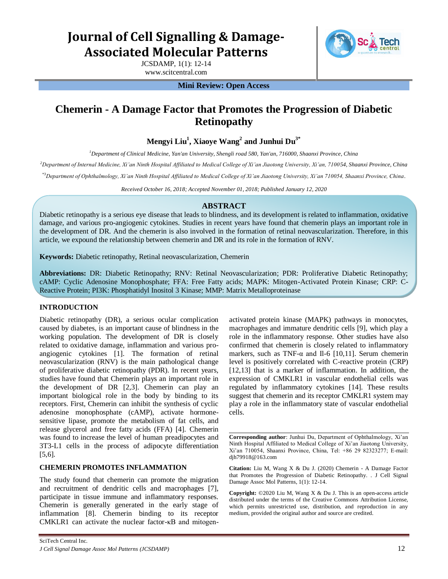# **Journal of Cell Signalling & Damage-Associated Molecular Patterns**

JCSDAMP, 1(1): 12-14 www.scitcentral.com



**Mini Review: Open Access** 

## **Chemerin - A Damage Factor that Promotes the Progression of Diabetic Retinopathy**

**Mengyi Liu<sup>1</sup> , Xiaoye Wang<sup>2</sup> and Junhui Du3\***

*<sup>1</sup>Department of Clinical Medicine, Yan'an University, Shengli road 580, Yan'an, 716000, Shaanxi Province, China* 

*<sup>2</sup>Department of Internal Medicine, Xi'an Ninth Hospital Affiliated to Medical College of Xi'an Jiaotong University, Xi'an, 710054, Shaanxi Province, China* 

*\*3Department of Ophthalmology, Xi'an Ninth Hospital Affiliated to Medical College of Xi'an Jiaotong University, Xi'an 710054, Shaanxi Province, China.* 

*Received October 16, 2018; Accepted November 01, 2018; Published January 12, 2020*

### **ABSTRACT**

Diabetic retinopathy is a serious eye disease that leads to blindness, and its development is related to inflammation, oxidative damage, and various pro-angiogenic cytokines. Studies in recent years have found that chemerin plays an important role in the development of DR. And the chemerin is also involved in the formation of retinal neovascularization. Therefore, in this article, we expound the relationship between chemerin and DR and its role in the formation of RNV.

**Keywords:** Diabetic retinopathy, Retinal neovascularization, Chemerin

**Abbreviations:** DR: Diabetic Retinopathy; RNV: Retinal Neovascularization; PDR: Proliferative Diabetic Retinopathy; cAMP: Cyclic Adenosine Monophosphate; FFA: Free Fatty acids; MAPK: Mitogen-Activated Protein Kinase; CRP: C-Reactive Protein; PI3K: Phosphatidyl Inositol 3 Kinase; MMP: Matrix Metalloproteinase

#### **INTRODUCTION**

Diabetic retinopathy (DR), a serious ocular complication caused by diabetes, is an important cause of blindness in the working population. The development of DR is closely related to oxidative damage, inflammation and various proangiogenic cytokines [1]. The formation of retinal neovascularization (RNV) is the main pathological change of proliferative diabetic retinopathy (PDR). In recent years, studies have found that Chemerin plays an important role in the development of DR [2,3]. Chemerin can play an important biological role in the body by binding to its receptors. First, Chemerin can inhibit the synthesis of cyclic adenosine monophosphate (cAMP), activate hormonesensitive lipase, promote the metabolism of fat cells, and release glycerol and free fatty acids (FFA) [4]. Chemerin was found to increase the level of human preadipocytes and 3T3-L1 cells in the process of adipocyte differentiation [5,6].

#### **CHEMERIN PROMOTES INFLAMMATION**

The study found that chemerin can promote the migration and recruitment of dendritic cells and macrophages [7], participate in tissue immune and inflammatory responses. Chemerin is generally generated in the early stage of inflammation [8]. Chemerin binding to its receptor CMKLR1 can activate the nuclear factor-κB and mitogenactivated protein kinase (MAPK) pathways in monocytes, macrophages and immature dendritic cells [9], which play a role in the inflammatory response. Other studies have also confirmed that chemerin is closely related to inflammatory markers, such as TNF- $\alpha$  and Il-6 [10,11]. Serum chemerin level is positively correlated with C-reactive protein (CRP) [12,13] that is a marker of inflammation. In addition, the expression of CMKLR1 in vascular endothelial cells was regulated by inflammatory cytokines [14]. These results suggest that chemerin and its receptor CMKLR1 system may play a role in the inflammatory state of vascular endothelial cells.

**Copyright:** ©2020 Liu M, Wang X & Du J. This is an open-access article distributed under the terms of the Creative Commons Attribution License, which permits unrestricted use, distribution, and reproduction in any medium, provided the original author and source are credited.

**Corresponding author**: Junhui Du, Department of Ophthalmology, Xi'an Ninth Hospital Affiliated to Medical College of Xi'an Jiaotong University, Xi'an 710054, Shaanxi Province, China, Tel: +86 29 82323277; E-mail: djh79918@163.com

**Citation:** Liu M, Wang X & Du J. (2020) Chemerin - A Damage Factor that Promotes the Progression of Diabetic Retinopathy*. .* J Cell Signal Damage Assoc Mol Patterns, 1(1): 12-14.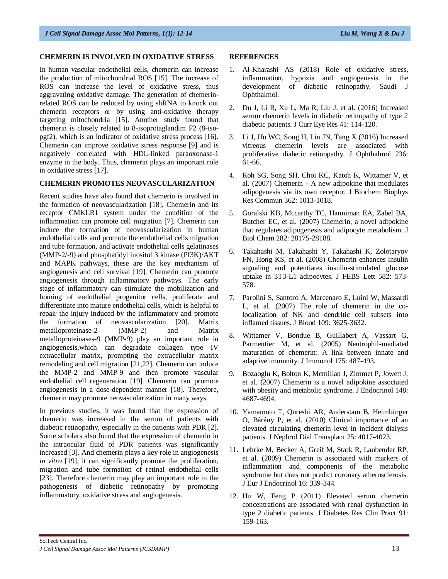#### **CHEMERIN IS INVOLVED IN OXIDATIVE STRESS**

In human vascular endothelial cells, chemerin can increase the production of mitochondrial ROS [15]. The increase of ROS can increase the level of oxidative stress, thus aggravating oxidative damage. The generation of chemerinrelated ROS can be reduced by using shRNA to knock out chemerin receptors or by using anti-oxidative therapy targeting mitochondria [15]. Another study found that chemerin is closely related to 8-isoprotaglandim F2 (8-isopgf2), which is an indicator of oxidative stress process [16]. Chemerin can improve oxidative stress response [9] and is negatively correlated with HDL-linked paraoxonase-1 enzyme in the body. Thus, chemerin plays an important role in oxidative stress [17].

#### **CHEMERIN PROMOTES NEOVASCULARIZATION**

Recent studies have also found that chemerin is involved in the formation of neovascularization [18]. Chemerin and its receptor CMKLR1 system under the condition of the inflammation can promote cell migration [7]. Chemerin can induce the formation of neovascularization in human endothelial cells and promote the endothelial cells migration and tube formation, and activate endothelial cells gelatinases (MMP-2/-9) and phosphatidyl inositol 3 kinase (PI3K)/AKT and MAPK pathways, these are the key mechanism of angiogenesis and cell survival [19]. Chemerin can promote angiogenesis through inflammatory pathways. The early stage of inflammatory can stimulate the mobilization and homing of endothelial progenitor cells, proliferate and differentiate into mature endothelial cells, which is helpful to repair the injury induced by the inflammatory and promote the formation of neovascularization [20]. Matrix metalloproteinase-2 (MMP-2) and Matrix metalloproteinases-9 (MMP-9) play an important role in angiogenesis,which can degradate collagen type IV extracellular matrix, prompting the extracellular matrix remodeling and cell migration [21,22]. Chemerin can induce the MMP-2 and MMP-9 and then promote vascular endothelial cell regeneration [19]. Chemerin can promote angiogenesis in a dose-dependent manner [18]. Therefore, chemerin may promote neovascularization in many ways.

In previous studies, it was found that the expression of chemerin was increased in the serum of patients with diabetic retinopathy, especially in the patients with PDR [2]. Some scholars also found that the expression of chemerin in the intraocular fluid of PDR patients was significantly increased [3]. And chemerin plays a key role in angiogenesis *in vitro* [19], it can significantly promote the proliferation, migration and tube formation of retinal endothelial cells [23]. Therefore chemerin may play an important role in the pathogenesis of diabetic retinopathy by promoting inflammatory, oxidative stress and angiogenesis.

#### **REFERENCES**

- 1. Al-Kharashi AS (2018) Role of oxidative stress, inflammation, hypoxia and angiogenesis in the development of diabetic retinopathy. Saudi J Ophthalmol.
- 2. Du J, Li R, Xu L, Ma R, Liu J, et al. (2016) Increased serum chemerin levels in diabetic retinopathy of type 2 diabetic patients. J Curr Eye Res 41: 114-120.
- 3. Li J, Hu WC, Song H, Lin JN, Tang X (2016) Increased vitreous chemerin levels are associated with proliferative diabetic retinopathy. J Ophthalmol 236: 61-66.
- 4. Roh SG, Song SH, Choi KC, Katoh K, Wittamer V, et al. (2007) Chemerin - A new adipokine that modulates adipogenesis via its own receptor. J Biochem Biophys Res Commun 362: 1013-1018.
- 5. Goralski KB, Mccarthy TC, Hanniman EA, Zabel BA, Butcher EC, et al. (2007) Chemerin, a novel adipokine that regulates adipogenesis and adipocyte metabolism. J Biol Chem 282: 28175-28188.
- 6. Takahashi M, Takahashi Y, Takahashi K, Zolotaryov FN, Hong KS, et al. (2008) Chemerin enhances insulin signaling and potentiates insulin-stimulated glucose uptake in 3T3-L1 adipocytes. J FEBS Lett 582: 573- 578.
- 7. Parolini S, Santoro A, Marcenaro E, Luini W, Massardi L, et al. (2007) The role of chemerin in the colocalization of NK and dendritic cell subsets into inflamed tissues. J Blood 109: 3625-3632.
- 8. Wittamer V, Bondue B, Guillabert A, Vassart G, Parmentier M, et al. (2005) Neutrophil-mediated maturation of chemerin: A link between innate and adaptive immunity. J Immunol 175: 487-493.
- 9. Bozaoglu K, Bolton K, Mcmillan J, Zimmet P, Jowett J, et al. (2007) Chemerin is a novel adipokine associated with obesity and metabolic syndrome. J Endocrinol 148: 4687-4694.
- 10. Yamamoto T, Qureshi AR, Anderstam B, Heimbürger O, Bárány P, et al. (2010) Clinical importance of an elevated circulating chemerin level in incident dialysis patients. J Nephrol Dial Transplant 25: 4017-4023.
- 11. Lehrke M, Becker A, Greif M, Stark R, Laubender RP, et al. (2009) Chemerin is associated with markers of inflammation and components of the metabolic syndrome but does not predict coronary atherosclerosis. J Eur J Endocrinol 16: 339-344.
- 12. Hu W, Feng P (2011) Elevated serum chemerin concentrations are associated with renal dysfunction in type 2 diabetic patients. J Diabetes Res Clin Pract 91: 159-163.